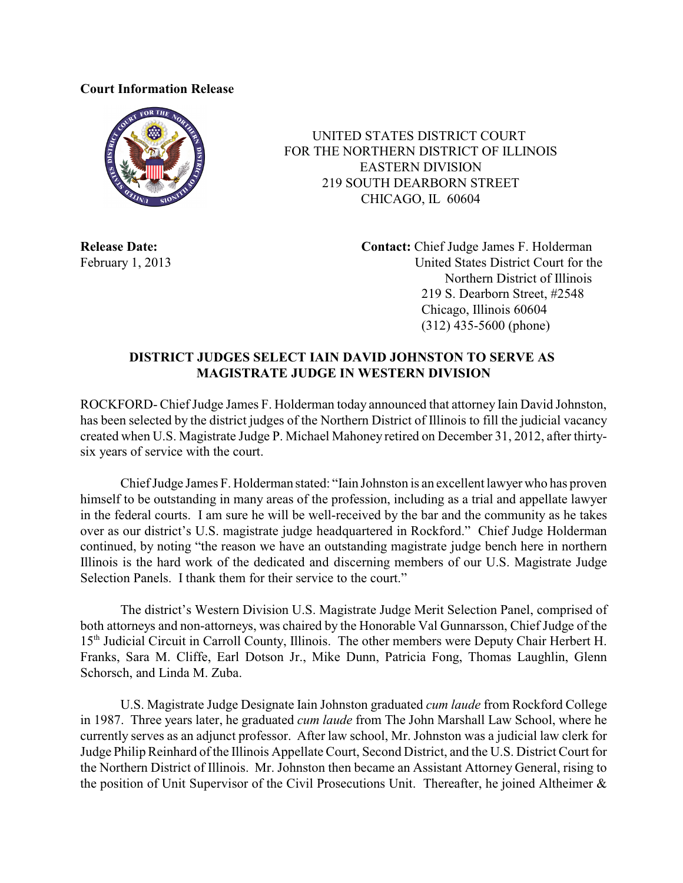## **Court Information Release**



 UNITED STATES DISTRICT COURT FOR THE NORTHERN DISTRICT OF ILLINOIS EASTERN DIVISION 219 SOUTH DEARBORN STREET CHICAGO, IL 60604

**Release Date: Contact:** Chief Judge James F. Holderman February 1, 2013 United States District Court for the Northern District of Illinois 219 S. Dearborn Street, #2548 Chicago, Illinois 60604 (312) 435-5600 (phone)

## **DISTRICT JUDGES SELECT IAIN DAVID JOHNSTON TO SERVE AS MAGISTRATE JUDGE IN WESTERN DIVISION**

ROCKFORD- Chief Judge James F. Holderman today announced that attorney Iain David Johnston, has been selected by the district judges of the Northern District of Illinois to fill the judicial vacancy created when U.S. Magistrate Judge P. Michael Mahoney retired on December 31, 2012, after thirtysix years of service with the court.

ChiefJudge James F. Holderman stated: "Iain Johnston is an excellent lawyer who has proven himself to be outstanding in many areas of the profession, including as a trial and appellate lawyer in the federal courts. I am sure he will be well-received by the bar and the community as he takes over as our district's U.S. magistrate judge headquartered in Rockford." Chief Judge Holderman continued, by noting "the reason we have an outstanding magistrate judge bench here in northern Illinois is the hard work of the dedicated and discerning members of our U.S. Magistrate Judge Selection Panels. I thank them for their service to the court."

The district's Western Division U.S. Magistrate Judge Merit Selection Panel, comprised of both attorneys and non-attorneys, was chaired by the Honorable Val Gunnarsson, Chief Judge of the 15<sup>th</sup> Judicial Circuit in Carroll County, Illinois. The other members were Deputy Chair Herbert H. Franks, Sara M. Cliffe, Earl Dotson Jr., Mike Dunn, Patricia Fong, Thomas Laughlin, Glenn Schorsch, and Linda M. Zuba.

U.S. Magistrate Judge Designate Iain Johnston graduated *cum laude* from Rockford College in 1987. Three years later, he graduated *cum laude* from The John Marshall Law School, where he currently serves as an adjunct professor. After law school, Mr. Johnston was a judicial law clerk for Judge Philip Reinhard of the Illinois Appellate Court, Second District, and the U.S. District Court for the Northern District of Illinois. Mr. Johnston then became an Assistant Attorney General, rising to the position of Unit Supervisor of the Civil Prosecutions Unit. Thereafter, he joined Altheimer &